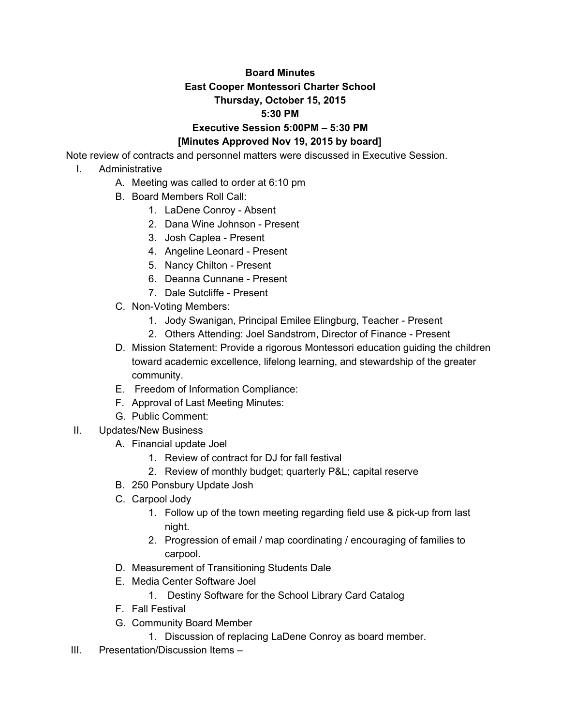## **Board Minutes East Cooper Montessori Charter School Thursday, October 15, 2015 5:30 PM Executive Session 5:00PM – 5:30 PM [Minutes Approved Nov 19, 2015 by board]**

Note review of contracts and personnel matters were discussed in Executive Session.

- I. Administrative
	- A. Meeting was called to order at 6:10 pm
	- B. Board Members Roll Call:
		- 1. LaDene Conroy Absent
		- 2. Dana Wine Johnson Present
		- 3. Josh Caplea Present
		- 4. Angeline Leonard Present
		- 5. Nancy Chilton Present
		- 6. Deanna Cunnane Present
		- 7. Dale Sutcliffe Present
	- C. Non-Voting Members:
		- 1. Jody Swanigan, Principal Emilee Elingburg, Teacher Present
		- 2. Others Attending: Joel Sandstrom, Director of Finance Present
	- D. Mission Statement: Provide a rigorous Montessori education guiding the children toward academic excellence, lifelong learning, and stewardship of the greater community.
	- E. Freedom of Information Compliance:
	- F. Approval of Last Meeting Minutes:
	- G. Public Comment:
- II. Updates/New Business
	- A. Financial update Joel
		- 1. Review of contract for DJ for fall festival
		- 2. Review of monthly budget; quarterly P&L; capital reserve
	- B. 250 Ponsbury Update Josh
	- C. Carpool Jody
		- 1. Follow up of the town meeting regarding field use & pick-up from last night.
		- 2. Progression of email / map coordinating / encouraging of families to carpool.
	- D. Measurement of Transitioning Students Dale
	- E. Media Center Software Joel
		- 1. Destiny Software for the School Library Card Catalog
	- F. Fall Festival
	- G. Community Board Member
		- 1. Discussion of replacing LaDene Conroy as board member.
- III. Presentation/Discussion Items –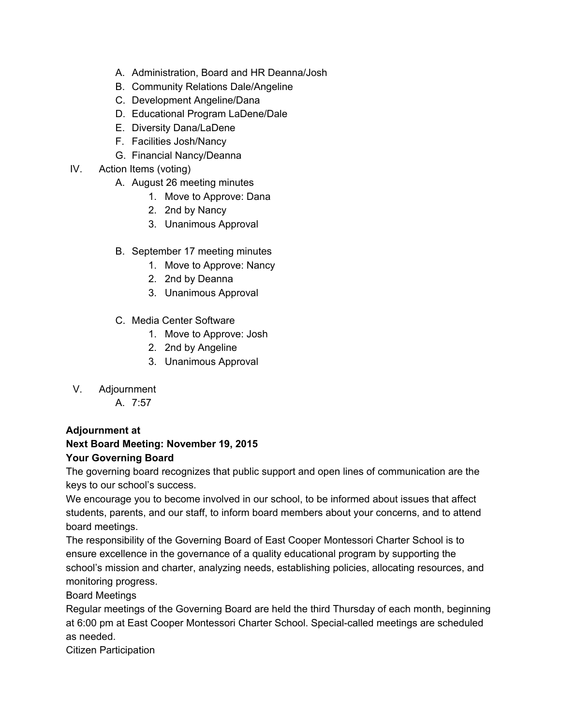- A. Administration, Board and HR Deanna/Josh
- B. Community Relations Dale/Angeline
- C. Development Angeline/Dana
- D. Educational Program LaDene/Dale
- E. Diversity Dana/LaDene
- F. Facilities Josh/Nancy
- G. Financial Nancy/Deanna
- IV. Action Items (voting)
	- A. August 26 meeting minutes
		- 1. Move to Approve: Dana
		- 2. 2nd by Nancy
		- 3. Unanimous Approval
	- B. September 17 meeting minutes
		- 1. Move to Approve: Nancy
		- 2. 2nd by Deanna
		- 3. Unanimous Approval
	- C. Media Center Software
		- 1. Move to Approve: Josh
		- 2. 2nd by Angeline
		- 3. Unanimous Approval
- V. Adjournment
	- A. 7:57

## **Adjournment at**

## **Next Board Meeting: November 19, 2015 Your Governing Board**

The governing board recognizes that public support and open lines of communication are the keys to our school's success.

We encourage you to become involved in our school, to be informed about issues that affect students, parents, and our staff, to inform board members about your concerns, and to attend board meetings.

The responsibility of the Governing Board of East Cooper Montessori Charter School is to ensure excellence in the governance of a quality educational program by supporting the school's mission and charter, analyzing needs, establishing policies, allocating resources, and monitoring progress.

Board Meetings

Regular meetings of the Governing Board are held the third Thursday of each month, beginning at 6:00 pm at East Cooper Montessori Charter School. Special-called meetings are scheduled as needed.

Citizen Participation